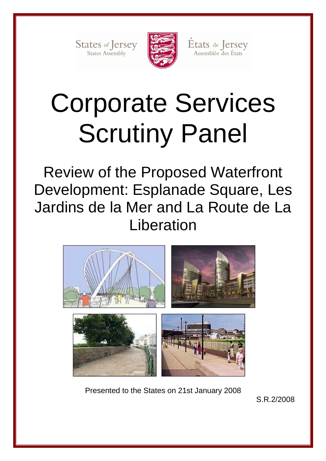States of Jersey



États de Jersey

# Corporate Services Scrutiny Panel

Review of the Proposed Waterfront Development: Esplanade Square, Les Jardins de la Mer and La Route de La Liberation



Presented to the States on 21st January 2008

S.R.2/2008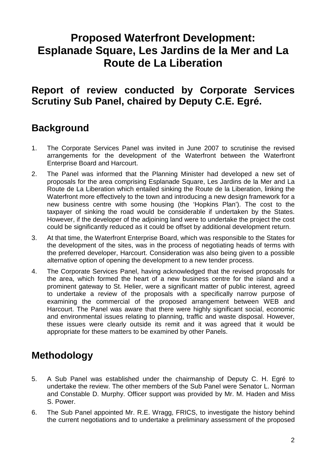## **Proposed Waterfront Development: Esplanade Square, Les Jardins de la Mer and La Route de La Liberation**

## **Report of review conducted by Corporate Services Scrutiny Sub Panel, chaired by Deputy C.E. Egré.**

## **Background**

- 1. The Corporate Services Panel was invited in June 2007 to scrutinise the revised arrangements for the development of the Waterfront between the Waterfront Enterprise Board and Harcourt.
- 2. The Panel was informed that the Planning Minister had developed a new set of proposals for the area comprising Esplanade Square, Les Jardins de la Mer and La Route de La Liberation which entailed sinking the Route de la Liberation, linking the Waterfront more effectively to the town and introducing a new design framework for a new business centre with some housing (the 'Hopkins Plan'). The cost to the taxpayer of sinking the road would be considerable if undertaken by the States. However, if the developer of the adjoining land were to undertake the project the cost could be significantly reduced as it could be offset by additional development return.
- 3. At that time, the Waterfront Enterprise Board, which was responsible to the States for the development of the sites, was in the process of negotiating heads of terms with the preferred developer, Harcourt. Consideration was also being given to a possible alternative option of opening the development to a new tender process.
- 4. The Corporate Services Panel, having acknowledged that the revised proposals for the area, which formed the heart of a new business centre for the island and a prominent gateway to St. Helier, were a significant matter of public interest, agreed to undertake a review of the proposals with a specifically narrow purpose of examining the commercial of the proposed arrangement between WEB and Harcourt. The Panel was aware that there were highly significant social, economic and environmental issues relating to planning, traffic and waste disposal. However, these issues were clearly outside its remit and it was agreed that it would be appropriate for these matters to be examined by other Panels.

## **Methodology**

- 5. A Sub Panel was established under the chairmanship of Deputy C. H. Egré to undertake the review. The other members of the Sub Panel were Senator L. Norman and Constable D. Murphy. Officer support was provided by Mr. M. Haden and Miss S. Power.
- 6. The Sub Panel appointed Mr. R.E. Wragg, FRICS, to investigate the history behind the current negotiations and to undertake a preliminary assessment of the proposed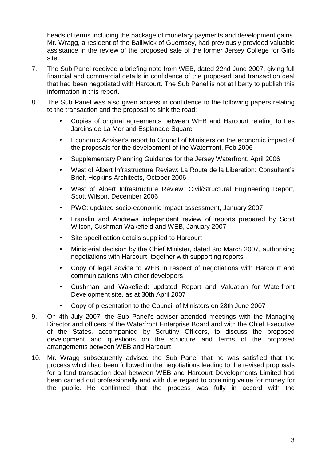heads of terms including the package of monetary payments and development gains. Mr. Wragg, a resident of the Bailiwick of Guernsey, had previously provided valuable assistance in the review of the proposed sale of the former Jersey College for Girls site.

- 7. The Sub Panel received a briefing note from WEB, dated 22nd June 2007, giving full financial and commercial details in confidence of the proposed land transaction deal that had been negotiated with Harcourt. The Sub Panel is not at liberty to publish this information in this report.
- 8. The Sub Panel was also given access in confidence to the following papers relating to the transaction and the proposal to sink the road:
	- Copies of original agreements between WEB and Harcourt relating to Les Jardins de La Mer and Esplanade Square
	- Economic Adviser's report to Council of Ministers on the economic impact of the proposals for the development of the Waterfront, Feb 2006
	- Supplementary Planning Guidance for the Jersey Waterfront, April 2006
	- West of Albert Infrastructure Review: La Route de la Liberation: Consultant's Brief, Hopkins Architects, October 2006
	- West of Albert Infrastructure Review: Civil/Structural Engineering Report, Scott Wilson, December 2006
	- PWC: updated socio-economic impact assessment, January 2007
	- Franklin and Andrews independent review of reports prepared by Scott Wilson, Cushman Wakefield and WEB, January 2007
	- Site specification details supplied to Harcourt
	- Ministerial decision by the Chief Minister, dated 3rd March 2007, authorising negotiations with Harcourt, together with supporting reports
	- Copy of legal advice to WEB in respect of negotiations with Harcourt and communications with other developers
	- Cushman and Wakefield: updated Report and Valuation for Waterfront Development site, as at 30th April 2007
	- Copy of presentation to the Council of Ministers on 28th June 2007
- 9. On 4th July 2007, the Sub Panel's adviser attended meetings with the Managing Director and officers of the Waterfront Enterprise Board and with the Chief Executive of the States, accompanied by Scrutiny Officers, to discuss the proposed development and questions on the structure and terms of the proposed arrangements between WEB and Harcourt.
- 10. Mr. Wragg subsequently advised the Sub Panel that he was satisfied that the process which had been followed in the negotiations leading to the revised proposals for a land transaction deal between WEB and Harcourt Developments Limited had been carried out professionally and with due regard to obtaining value for money for the public. He confirmed that the process was fully in accord with the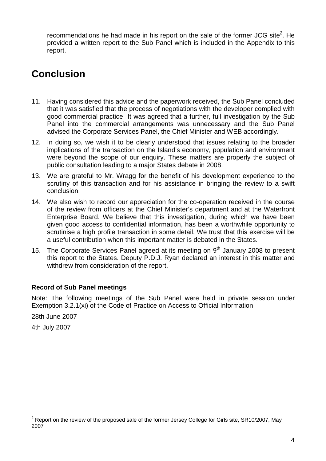recommendations he had made in his report on the sale of the former JCG site<sup>2</sup>. He provided a written report to the Sub Panel which is included in the Appendix to this report.

# **Conclusion**

- 11. Having considered this advice and the paperwork received, the Sub Panel concluded that it was satisfied that the process of negotiations with the developer complied with good commercial practice It was agreed that a further, full investigation by the Sub Panel into the commercial arrangements was unnecessary and the Sub Panel advised the Corporate Services Panel, the Chief Minister and WEB accordingly.
- 12. In doing so, we wish it to be clearly understood that issues relating to the broader implications of the transaction on the Island's economy, population and environment were beyond the scope of our enquiry. These matters are properly the subject of public consultation leading to a major States debate in 2008.
- 13. We are grateful to Mr. Wragg for the benefit of his development experience to the scrutiny of this transaction and for his assistance in bringing the review to a swift conclusion.
- 14. We also wish to record our appreciation for the co-operation received in the course of the review from officers at the Chief Minister's department and at the Waterfront Enterprise Board. We believe that this investigation, during which we have been given good access to confidential information, has been a worthwhile opportunity to scrutinise a high profile transaction in some detail. We trust that this exercise will be a useful contribution when this important matter is debated in the States.
- 15. The Corporate Services Panel agreed at its meeting on  $9<sup>th</sup>$  January 2008 to present this report to the States. Deputy P.D.J. Ryan declared an interest in this matter and withdrew from consideration of the report.

### **Record of Sub Panel meetings**

Note: The following meetings of the Sub Panel were held in private session under Exemption 3.2.1(xi) of the Code of Practice on Access to Official Information

28th June 2007

4th July 2007

 $\overline{a}$ 

 $^{2}$  Report on the review of the proposed sale of the former Jersey College for Girls site, SR10/2007, May 2007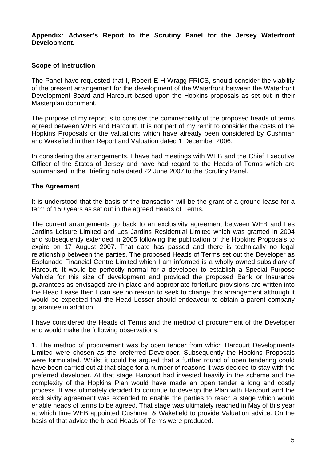**Appendix: Adviser's Report to the Scrutiny Panel for the Jersey Waterfront Development.** 

#### **Scope of Instruction**

The Panel have requested that I, Robert E H Wragg FRICS, should consider the viability of the present arrangement for the development of the Waterfront between the Waterfront Development Board and Harcourt based upon the Hopkins proposals as set out in their Masterplan document.

The purpose of my report is to consider the commerciality of the proposed heads of terms agreed between WEB and Harcourt. It is not part of my remit to consider the costs of the Hopkins Proposals or the valuations which have already been considered by Cushman and Wakefield in their Report and Valuation dated 1 December 2006.

In considering the arrangements, I have had meetings with WEB and the Chief Executive Officer of the States of Jersey and have had regard to the Heads of Terms which are summarised in the Briefing note dated 22 June 2007 to the Scrutiny Panel.

#### **The Agreement**

It is understood that the basis of the transaction will be the grant of a ground lease for a term of 150 years as set out in the agreed Heads of Terms.

The current arrangements go back to an exclusivity agreement between WEB and Les Jardins Leisure Limited and Les Jardins Residential Limited which was granted in 2004 and subsequently extended in 2005 following the publication of the Hopkins Proposals to expire on 17 August 2007. That date has passed and there is technically no legal relationship between the parties. The proposed Heads of Terms set out the Developer as Esplanade Financial Centre Limited which I am informed is a wholly owned subsidiary of Harcourt. It would be perfectly normal for a developer to establish a Special Purpose Vehicle for this size of development and provided the proposed Bank or Insurance guarantees as envisaged are in place and appropriate forfeiture provisions are written into the Head Lease then I can see no reason to seek to change this arrangement although it would be expected that the Head Lessor should endeavour to obtain a parent company guarantee in addition.

I have considered the Heads of Terms and the method of procurement of the Developer and would make the following observations:

1. The method of procurement was by open tender from which Harcourt Developments Limited were chosen as the preferred Developer. Subsequently the Hopkins Proposals were formulated. Whilst it could be argued that a further round of open tendering could have been carried out at that stage for a number of reasons it was decided to stay with the preferred developer. At that stage Harcourt had invested heavily in the scheme and the complexity of the Hopkins Plan would have made an open tender a long and costly process. It was ultimately decided to continue to develop the Plan with Harcourt and the exclusivity agreement was extended to enable the parties to reach a stage which would enable heads of terms to be agreed. That stage was ultimately reached in May of this year at which time WEB appointed Cushman & Wakefield to provide Valuation advice. On the basis of that advice the broad Heads of Terms were produced.